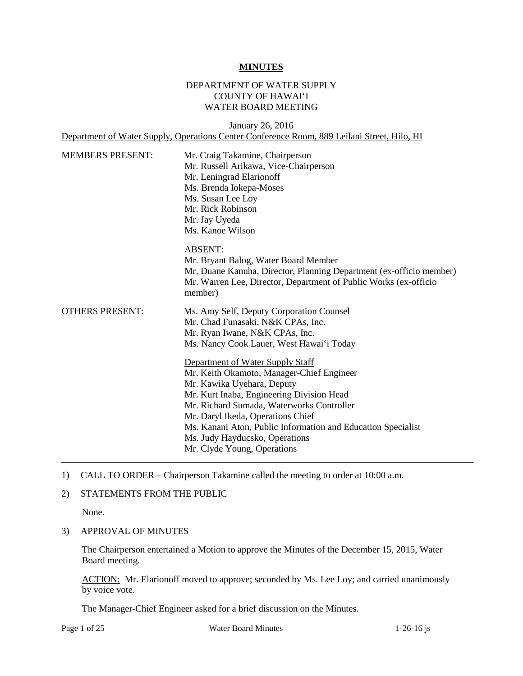#### **MINUTES**

### DEPARTMENT OF WATER SUPPLY COUNTY OF HAWAI'I WATER BOARD MEETING

January 26, 2016 Department of Water Supply, Operations Center Conference Room, 889 Leilani Street, Hilo, HI

| <b>MEMBERS PRESENT:</b> | Mr. Craig Takamine, Chairperson<br>Mr. Russell Arikawa, Vice-Chairperson<br>Mr. Leningrad Elarionoff<br>Ms. Brenda Iokepa-Moses<br>Ms. Susan Lee Loy<br>Mr. Rick Robinson<br>Mr. Jay Uyeda<br>Ms. Kanoe Wilson                                                                                                                                                                                                                                                                                                                             |  |  |
|-------------------------|--------------------------------------------------------------------------------------------------------------------------------------------------------------------------------------------------------------------------------------------------------------------------------------------------------------------------------------------------------------------------------------------------------------------------------------------------------------------------------------------------------------------------------------------|--|--|
|                         | <b>ABSENT:</b><br>Mr. Bryant Balog, Water Board Member<br>Mr. Duane Kanuha, Director, Planning Department (ex-officio member)<br>Mr. Warren Lee, Director, Department of Public Works (ex-officio<br>member)                                                                                                                                                                                                                                                                                                                               |  |  |
| <b>OTHERS PRESENT:</b>  | Ms. Amy Self, Deputy Corporation Counsel<br>Mr. Chad Funasaki, N&K CPAs, Inc.<br>Mr. Ryan Iwane, N&K CPAs, Inc.<br>Ms. Nancy Cook Lauer, West Hawai'i Today<br>Department of Water Supply Staff<br>Mr. Keith Okamoto, Manager-Chief Engineer<br>Mr. Kawika Uyehara, Deputy<br>Mr. Kurt Inaba, Engineering Division Head<br>Mr. Richard Sumada, Waterworks Controller<br>Mr. Daryl Ikeda, Operations Chief<br>Ms. Kanani Aton, Public Information and Education Specialist<br>Ms. Judy Hayducsko, Operations<br>Mr. Clyde Young, Operations |  |  |

1) CALL TO ORDER – Chairperson Takamine called the meeting to order at 10:00 a.m.

### 2) STATEMENTS FROM THE PUBLIC

None.

3) APPROVAL OF MINUTES

 The Chairperson entertained a Motion to approve the Minutes of the December 15, 2015, Water Board meeting.

ACTION: Mr. Elarionoff moved to approve; seconded by Ms. Lee Loy; and carried unanimously by voice vote.

The Manager-Chief Engineer asked for a brief discussion on the Minutes.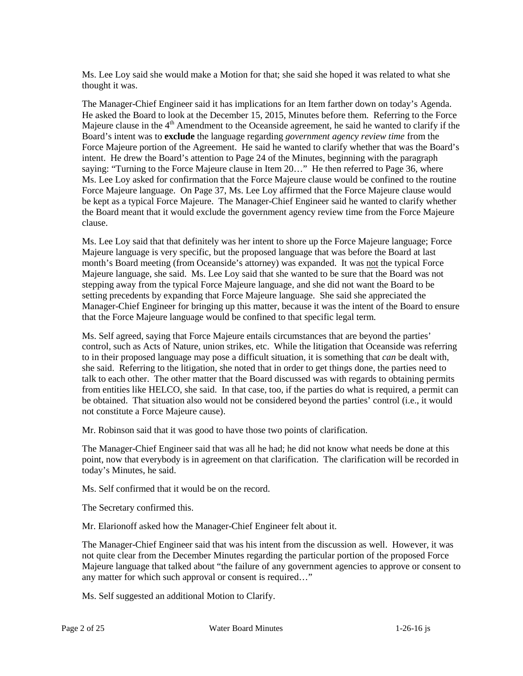Ms. Lee Loy said she would make a Motion for that; she said she hoped it was related to what she thought it was.

 The Manager-Chief Engineer said it has implications for an Item farther down on today's Agenda. He asked the Board to look at the December 15, 2015, Minutes before them. Referring to the Force Majeure clause in the 4<sup>th</sup> Amendment to the Oceanside agreement, he said he wanted to clarify if the Board's intent was to **exclude** the language regarding *government agency review time* from the Force Majeure portion of the Agreement. He said he wanted to clarify whether that was the Board's intent. He drew the Board's attention to Page 24 of the Minutes, beginning with the paragraph saying: "Turning to the Force Majeure clause in Item 20..." He then referred to Page 36, where Ms. Lee Loy asked for confirmation that the Force Majeure clause would be confined to the routine Force Majeure language. On Page 37, Ms. Lee Loy affirmed that the Force Majeure clause would be kept as a typical Force Majeure. The Manager-Chief Engineer said he wanted to clarify whether the Board meant that it would exclude the government agency review time from the Force Majeure clause.

 Ms. Lee Loy said that that definitely was her intent to shore up the Force Majeure language; Force Majeure language, she said. Ms. Lee Loy said that she wanted to be sure that the Board was not Manager-Chief Engineer for bringing up this matter, because it was the intent of the Board to ensure Majeure language is very specific, but the proposed language that was before the Board at last month's Board meeting (from Oceanside's attorney) was expanded. It was not the typical Force stepping away from the typical Force Majeure language, and she did not want the Board to be setting precedents by expanding that Force Majeure language. She said she appreciated the that the Force Majeure language would be confined to that specific legal term.

 Ms. Self agreed, saying that Force Majeure entails circumstances that are beyond the parties' control, such as Acts of Nature, union strikes, etc. While the litigation that Oceanside was referring she said. Referring to the litigation, she noted that in order to get things done, the parties need to talk to each other. The other matter that the Board discussed was with regards to obtaining permits be obtained. That situation also would not be considered beyond the parties' control (i.e., it would not constitute a Force Majeure cause). to in their proposed language may pose a difficult situation, it is something that *can* be dealt with, from entities like HELCO, she said. In that case, too, if the parties do what is required, a permit can

Mr. Robinson said that it was good to have those two points of clarification.

 The Manager-Chief Engineer said that was all he had; he did not know what needs be done at this point, now that everybody is in agreement on that clarification. The clarification will be recorded in today's Minutes, he said.

Ms. Self confirmed that it would be on the record.

The Secretary confirmed this.

Mr. Elarionoff asked how the Manager-Chief Engineer felt about it.

 not quite clear from the December Minutes regarding the particular portion of the proposed Force Majeure language that talked about "the failure of any government agencies to approve or consent to The Manager-Chief Engineer said that was his intent from the discussion as well. However, it was any matter for which such approval or consent is required…"

Ms. Self suggested an additional Motion to Clarify.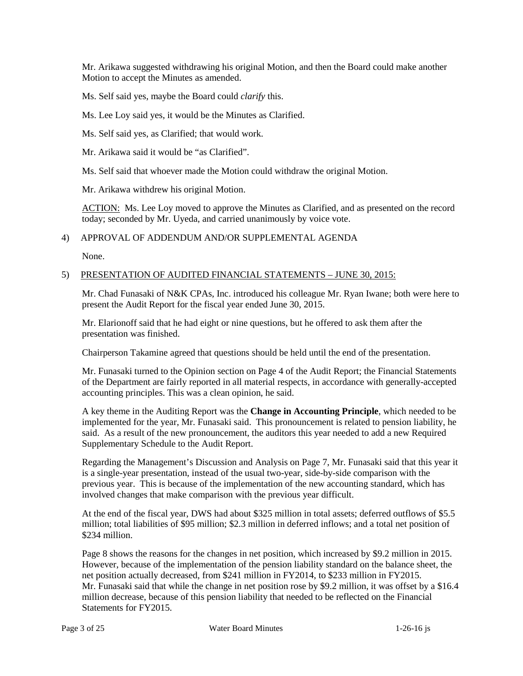Mr. Arikawa suggested withdrawing his original Motion, and then the Board could make another Motion to accept the Minutes as amended.

Ms. Self said yes, maybe the Board could *clarify* this.

Ms. Lee Loy said yes, it would be the Minutes as Clarified.

Ms. Self said yes, as Clarified; that would work.

Mr. Arikawa said it would be "as Clarified".

Ms. Self said that whoever made the Motion could withdraw the original Motion.

Mr. Arikawa withdrew his original Motion.

 today; seconded by Mr. Uyeda, and carried unanimously by voice vote. ACTION: Ms. Lee Loy moved to approve the Minutes as Clarified, and as presented on the record

### 4) APPROVAL OF ADDENDUM AND/OR SUPPLEMENTAL AGENDA

None.

### 5) PRESENTATION OF AUDITED FINANCIAL STATEMENTS – JUNE 30, 2015:

 present the Audit Report for the fiscal year ended June 30, 2015. Mr. Chad Funasaki of N&K CPAs, Inc. introduced his colleague Mr. Ryan Iwane; both were here to

 Mr. Elarionoff said that he had eight or nine questions, but he offered to ask them after the presentation was finished.

Chairperson Takamine agreed that questions should be held until the end of the presentation.

Mr. Funasaki turned to the Opinion section on Page 4 of the Audit Report; the Financial Statements of the Department are fairly reported in all material respects, in accordance with generally-accepted accounting principles. This was a clean opinion, he said.

 A key theme in the Auditing Report was the **Change in Accounting Principle**, which needed to be implemented for the year, Mr. Funasaki said. This pronouncement is related to pension liability, he said. As a result of the new pronouncement, the auditors this year needed to add a new Required Supplementary Schedule to the Audit Report.

 is a single-year presentation, instead of the usual two-year, side-by-side comparison with the Regarding the Management's Discussion and Analysis on Page 7, Mr. Funasaki said that this year it previous year. This is because of the implementation of the new accounting standard, which has involved changes that make comparison with the previous year difficult.

 million; total liabilities of \$95 million; \$2.3 million in deferred inflows; and a total net position of At the end of the fiscal year, DWS had about \$325 million in total assets; deferred outflows of \$5.5 \$234 million.

 Page 8 shows the reasons for the changes in net position, which increased by \$9.2 million in 2015. However, because of the implementation of the pension liability standard on the balance sheet, the net position actually decreased, from \$241 million in FY2014, to \$233 million in FY2015. net position actually decreased, from \$241 million in FY2014, to \$233 million in FY2015.<br>Mr. Funasaki said that while the change in net position rose by \$9.2 million, it was offset by a \$16.4 million decrease, because of this pension liability that needed to be reflected on the Financial Statements for FY2015.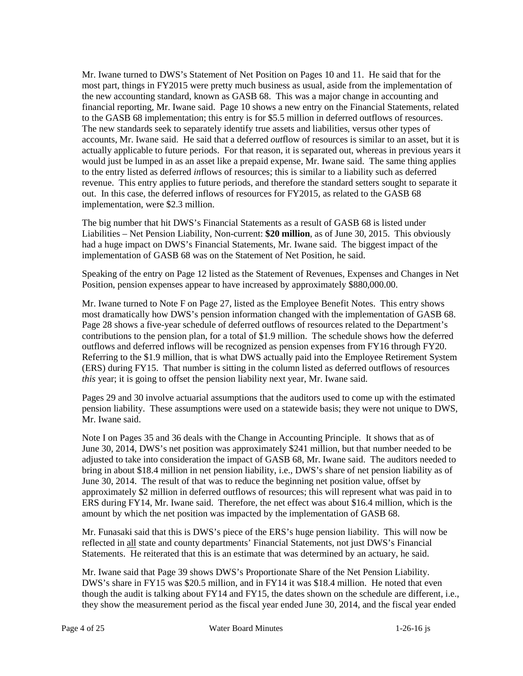Mr. Iwane turned to DWS's Statement of Net Position on Pages 10 and 11. He said that for the accounts, Mr. Iwane said. He said that a deferred *out*flow of resources is similar to an asset, but it is actually applicable to future periods. For that reason, it is separated out, whereas in previous years it would just be lumped in as an asset like a prepaid expense, Mr. Iwane said. The same thing applies to the entry listed as deferred *in*flows of resources; this is similar to a liability such as deferred revenue. This entry applies to future periods, and therefore the standard setters sought to separate it out. In this case, the deferred inflows of resources for FY2015, as related to the GASB 68 most part, things in FY2015 were pretty much business as usual, aside from the implementation of the new accounting standard, known as GASB 68. This was a major change in accounting and financial reporting, Mr. Iwane said. Page 10 shows a new entry on the Financial Statements, related to the GASB 68 implementation; this entry is for \$5.5 million in deferred outflows of resources. The new standards seek to separately identify true assets and liabilities, versus other types of implementation, were \$2.3 million.

 The big number that hit DWS's Financial Statements as a result of GASB 68 is listed under Liabilities – Net Pension Liability, Non-current: **\$20 million**, as of June 30, 2015. This obviously had a huge impact on DWS's Financial Statements, Mr. Iwane said. The biggest impact of the implementation of GASB 68 was on the Statement of Net Position, he said.

Speaking of the entry on Page 12 listed as the Statement of Revenues, Expenses and Changes in Net Position, pension expenses appear to have increased by approximately \$880,000.00.

 Mr. Iwane turned to Note F on Page 27, listed as the Employee Benefit Notes. This entry shows most dramatically how DWS's pension information changed with the implementation of GASB 68. contributions to the pension plan, for a total of \$1.9 million. The schedule shows how the deferred (ERS) during FY15. That number is sitting in the column listed as deferred outflows of resources Page 28 shows a five-year schedule of deferred outflows of resources related to the Department's outflows and deferred inflows will be recognized as pension expenses from FY16 through FY20. Referring to the \$1.9 million, that is what DWS actually paid into the Employee Retirement System *this* year; it is going to offset the pension liability next year, Mr. Iwane said.

Pages 29 and 30 involve actuarial assumptions that the auditors used to come up with the estimated pension liability. These assumptions were used on a statewide basis; they were not unique to DWS, Mr. Iwane said.

 June 30, 2014. The result of that was to reduce the beginning net position value, offset by approximately \$2 million in deferred outflows of resources; this will represent what was paid in to ERS during FY14, Mr. Iwane said. Therefore, the net effect was about \$16.4 million, which is the Note I on Pages 35 and 36 deals with the Change in Accounting Principle. It shows that as of June 30, 2014, DWS's net position was approximately \$241 million, but that number needed to be adjusted to take into consideration the impact of GASB 68, Mr. Iwane said. The auditors needed to bring in about \$18.4 million in net pension liability, i.e., DWS's share of net pension liability as of amount by which the net position was impacted by the implementation of GASB 68.

 Mr. Funasaki said that this is DWS's piece of the ERS's huge pension liability. This will now be Statements. He reiterated that this is an estimate that was determined by an actuary, he said. reflected in all state and county departments' Financial Statements, not just DWS's Financial

Mr. Iwane said that Page 39 shows DWS's Proportionate Share of the Net Pension Liability. though the audit is talking about FY14 and FY15, the dates shown on the schedule are different, i.e., DWS's share in FY15 was \$20.5 million, and in FY14 it was \$18.4 million. He noted that even they show the measurement period as the fiscal year ended June 30, 2014, and the fiscal year ended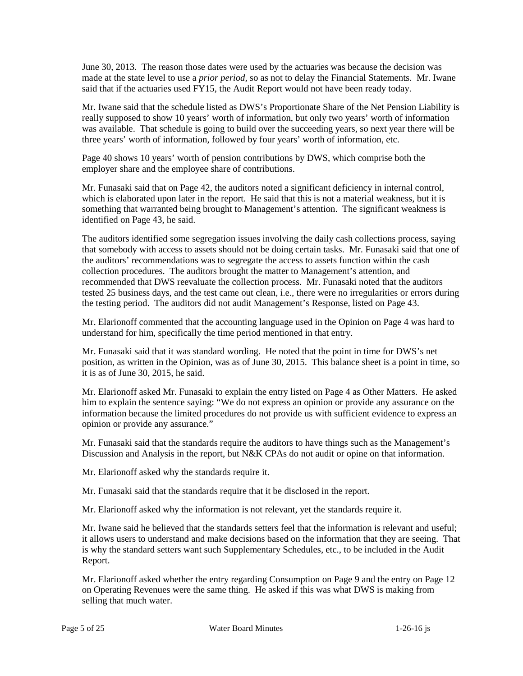June 30, 2013. The reason those dates were used by the actuaries was because the decision was made at the state level to use a *prior period,* so as not to delay the Financial Statements. Mr. Iwane said that if the actuaries used FY15, the Audit Report would not have been ready today.

 really supposed to show 10 years' worth of information, but only two years' worth of information was available. That schedule is going to build over the succeeding years, so next year there will be Mr. Iwane said that the schedule listed as DWS's Proportionate Share of the Net Pension Liability is three years' worth of information, followed by four years' worth of information, etc.

Page 40 shows 10 years' worth of pension contributions by DWS, which comprise both the employer share and the employee share of contributions.

 Mr. Funasaki said that on Page 42, the auditors noted a significant deficiency in internal control, something that warranted being brought to Management's attention. The significant weakness is which is elaborated upon later in the report. He said that this is not a material weakness, but it is identified on Page 43, he said.

 recommended that DWS reevaluate the collection process. Mr. Funasaki noted that the auditors The auditors identified some segregation issues involving the daily cash collections process, saying that somebody with access to assets should not be doing certain tasks. Mr. Funasaki said that one of the auditors' recommendations was to segregate the access to assets function within the cash collection procedures. The auditors brought the matter to Management's attention, and tested 25 business days, and the test came out clean, i.e., there were no irregularities or errors during the testing period. The auditors did not audit Management's Response, listed on Page 43.

Mr. Elarionoff commented that the accounting language used in the Opinion on Page 4 was hard to understand for him, specifically the time period mentioned in that entry.

 Mr. Funasaki said that it was standard wording. He noted that the point in time for DWS's net position, as written in the Opinion, was as of June 30, 2015. This balance sheet is a point in time, so it is as of June 30, 2015, he said.

 Mr. Elarionoff asked Mr. Funasaki to explain the entry listed on Page 4 as Other Matters. He asked information because the limited procedures do not provide us with sufficient evidence to express an him to explain the sentence saying: "We do not express an opinion or provide any assurance on the opinion or provide any assurance."

 Mr. Funasaki said that the standards require the auditors to have things such as the Management's Discussion and Analysis in the report, but N&K CPAs do not audit or opine on that information.

Mr. Elarionoff asked why the standards require it.

Mr. Funasaki said that the standards require that it be disclosed in the report.

Mr. Elarionoff asked why the information is not relevant, yet the standards require it.

 is why the standard setters want such Supplementary Schedules, etc., to be included in the Audit Mr. Iwane said he believed that the standards setters feel that the information is relevant and useful; it allows users to understand and make decisions based on the information that they are seeing. That Report.

Mr. Elarionoff asked whether the entry regarding Consumption on Page 9 and the entry on Page 12 on Operating Revenues were the same thing. He asked if this was what DWS is making from selling that much water.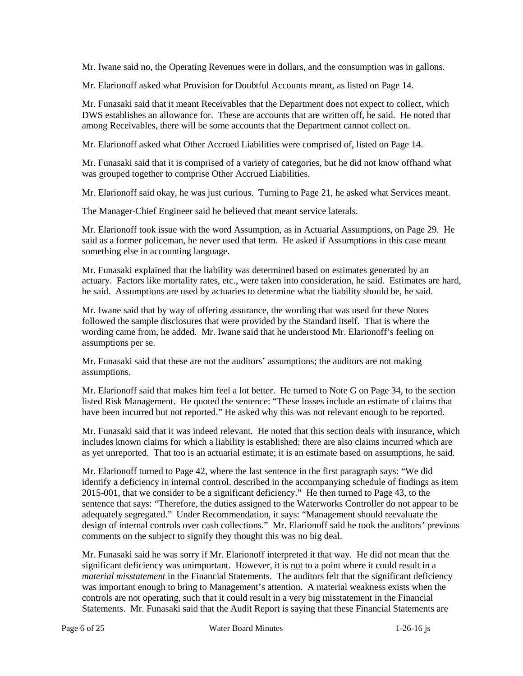Mr. Iwane said no, the Operating Revenues were in dollars, and the consumption was in gallons.

Mr. Elarionoff asked what Provision for Doubtful Accounts meant, as listed on Page 14.

 Mr. Funasaki said that it meant Receivables that the Department does not expect to collect, which DWS establishes an allowance for. These are accounts that are written off, he said. He noted that among Receivables, there will be some accounts that the Department cannot collect on.

Mr. Elarionoff asked what Other Accrued Liabilities were comprised of, listed on Page 14.

 Mr. Funasaki said that it is comprised of a variety of categories, but he did not know offhand what was grouped together to comprise Other Accrued Liabilities.

Mr. Elarionoff said okay, he was just curious. Turning to Page 21, he asked what Services meant.

The Manager-Chief Engineer said he believed that meant service laterals.

Mr. Elarionoff took issue with the word Assumption, as in Actuarial Assumptions, on Page 29. He said as a former policeman, he never used that term. He asked if Assumptions in this case meant something else in accounting language.

 actuary. Factors like mortality rates, etc., were taken into consideration, he said. Estimates are hard, he said. Assumptions are used by actuaries to determine what the liability should be, he said. Mr. Funasaki explained that the liability was determined based on estimates generated by an

 Mr. Iwane said that by way of offering assurance, the wording that was used for these Notes followed the sample disclosures that were provided by the Standard itself. That is where the wording came from, he added. Mr. Iwane said that he understood Mr. Elarionoff's feeling on assumptions per se.

 Mr. Funasaki said that these are not the auditors' assumptions; the auditors are not making assumptions.

 have been incurred but not reported." He asked why this was not relevant enough to be reported. Mr. Elarionoff said that makes him feel a lot better. He turned to Note G on Page 34, to the section listed Risk Management. He quoted the sentence: "These losses include an estimate of claims that

 as yet unreported. That too is an actuarial estimate; it is an estimate based on assumptions, he said. Mr. Funasaki said that it was indeed relevant. He noted that this section deals with insurance, which includes known claims for which a liability is established; there are also claims incurred which are

 Mr. Elarionoff turned to Page 42, where the last sentence in the first paragraph says: "We did 2015-001, that we consider to be a significant deficiency." He then turned to Page 43, to the sentence that says: "Therefore, the duties assigned to the Waterworks Controller do not appear to be design of internal controls over cash collections." Mr. Elarionoff said he took the auditors' previous identify a deficiency in internal control, described in the accompanying schedule of findings as item adequately segregated." Under Recommendation, it says: "Management should reevaluate the comments on the subject to signify they thought this was no big deal.

significant deficiency was unimportant. However, it is not to a point where it could result in a *material misstatement* in the Financial Statements. The auditors felt that the significant deficiency controls are not operating, such that it could result in a very big misstatement in the Financial Statements. Mr. Funasaki said that the Audit Report is saying that these Financial Statements are Mr. Funasaki said he was sorry if Mr. Elarionoff interpreted it that way. He did not mean that the was important enough to bring to Management's attention. A material weakness exists when the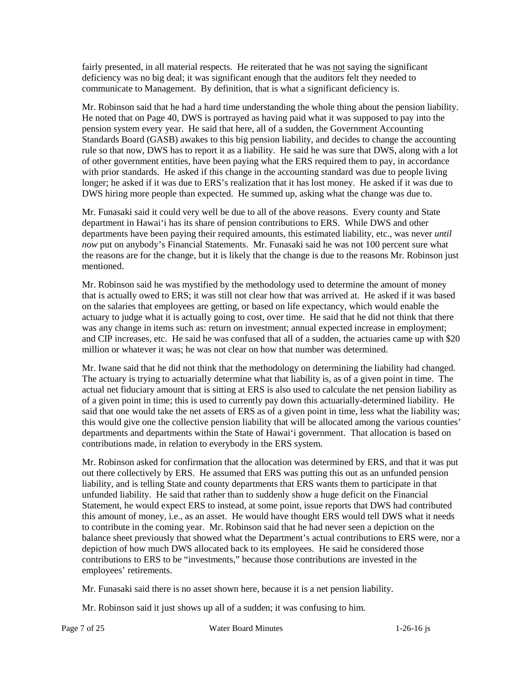fairly presented, in all material respects. He reiterated that he was not saying the significant deficiency was no big deal; it was significant enough that the auditors felt they needed to communicate to Management. By definition, that is what a significant deficiency is.

 Mr. Robinson said that he had a hard time understanding the whole thing about the pension liability. rule so that now, DWS has to report it as a liability. He said he was sure that DWS, along with a lot longer; he asked if it was due to ERS's realization that it has lost money. He asked if it was due to DWS hiring more people than expected. He summed up, asking what the change was due to. He noted that on Page 40, DWS is portrayed as having paid what it was supposed to pay into the pension system every year. He said that here, all of a sudden, the Government Accounting Standards Board (GASB) awakes to this big pension liability, and decides to change the accounting of other government entities, have been paying what the ERS required them to pay, in accordance with prior standards. He asked if this change in the accounting standard was due to people living

 Mr. Funasaki said it could very well be due to all of the above reasons. Every county and State department in Hawai'i has its share of pension contributions to ERS. While DWS and other departments have been paying their required amounts, this estimated liability, etc., was never *until*  the reasons are for the change, but it is likely that the change is due to the reasons Mr. Robinson just *now* put on anybody's Financial Statements. Mr. Funasaki said he was not 100 percent sure what mentioned.

 actuary to judge what it is actually going to cost, over time. He said that he did not think that there and CIP increases, etc. He said he was confused that all of a sudden, the actuaries came up with \$20 million or whatever it was; he was not clear on how that number was determined. Mr. Robinson said he was mystified by the methodology used to determine the amount of money that is actually owed to ERS; it was still not clear how that was arrived at. He asked if it was based on the salaries that employees are getting, or based on life expectancy, which would enable the was any change in items such as: return on investment; annual expected increase in employment;

 The actuary is trying to actuarially determine what that liability is, as of a given point in time. The actual net fiduciary amount that is sitting at ERS is also used to calculate the net pension liability as this would give one the collective pension liability that will be allocated among the various counties' Mr. Iwane said that he did not think that the methodology on determining the liability had changed. of a given point in time; this is used to currently pay down this actuarially-determined liability. He said that one would take the net assets of ERS as of a given point in time, less what the liability was; departments and departments within the State of Hawai'i government. That allocation is based on contributions made, in relation to everybody in the ERS system.

 Mr. Robinson asked for confirmation that the allocation was determined by ERS, and that it was put out there collectively by ERS. He assumed that ERS was putting this out as an unfunded pension liability, and is telling State and county departments that ERS wants them to participate in that this amount of money, i.e., as an asset. He would have thought ERS would tell DWS what it needs depiction of how much DWS allocated back to its employees. He said he considered those unfunded liability. He said that rather than to suddenly show a huge deficit on the Financial Statement, he would expect ERS to instead, at some point, issue reports that DWS had contributed to contribute in the coming year. Mr. Robinson said that he had never seen a depiction on the balance sheet previously that showed what the Department's actual contributions to ERS were, nor a contributions to ERS to be "investments," because those contributions are invested in the employees' retirements.

Mr. Funasaki said there is no asset shown here, because it is a net pension liability.

Mr. Robinson said it just shows up all of a sudden; it was confusing to him.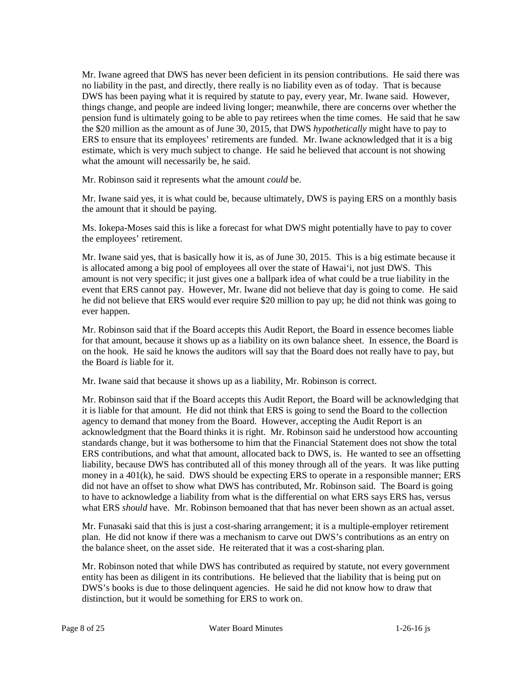no liability in the past, and directly, there really is no liability even as of today. That is because DWS has been paying what it is required by statute to pay, every year, Mr. Iwane said. However, the \$20 million as the amount as of June 30, 2015, that DWS *hypothetically* might have to pay to ERS to ensure that its employees' retirements are funded. Mr. Iwane acknowledged that it is a big Mr. Iwane agreed that DWS has never been deficient in its pension contributions. He said there was things change, and people are indeed living longer; meanwhile, there are concerns over whether the pension fund is ultimately going to be able to pay retirees when the time comes. He said that he saw estimate, which is very much subject to change. He said he believed that account is not showing what the amount will necessarily be, he said.

Mr. Robinson said it represents what the amount *could* be.

 the amount that it should be paying. Mr. Iwane said yes, it is what could be, because ultimately, DWS is paying ERS on a monthly basis

Ms. Iokepa-Moses said this is like a forecast for what DWS might potentially have to pay to cover the employees' retirement.

 Mr. Iwane said yes, that is basically how it is, as of June 30, 2015. This is a big estimate because it amount is not very specific; it just gives one a ballpark idea of what could be a true liability in the he did not believe that ERS would ever require \$20 million to pay up; he did not think was going to is allocated among a big pool of employees all over the state of Hawai'i, not just DWS. This event that ERS cannot pay. However, Mr. Iwane did not believe that day is going to come. He said ever happen.

 for that amount, because it shows up as a liability on its own balance sheet. In essence, the Board is the Board *is* liable for it. Mr. Robinson said that if the Board accepts this Audit Report, the Board in essence becomes liable on the hook. He said he knows the auditors will say that the Board does not really have to pay, but

Mr. Iwane said that because it shows up as a liability, Mr. Robinson is correct.

 it is liable for that amount. He did not think that ERS is going to send the Board to the collection acknowledgment that the Board thinks it is right. Mr. Robinson said he understood how accounting money in a 401(k), he said. DWS should be expecting ERS to operate in a responsible manner; ERS what ERS *should* have. Mr. Robinson bemoaned that that has never been shown as an actual asset. Mr. Robinson said that if the Board accepts this Audit Report, the Board will be acknowledging that agency to demand that money from the Board. However, accepting the Audit Report is an standards change, but it was bothersome to him that the Financial Statement does not show the total ERS contributions, and what that amount, allocated back to DWS, is. He wanted to see an offsetting liability, because DWS has contributed all of this money through all of the years. It was like putting did not have an offset to show what DWS has contributed, Mr. Robinson said. The Board is going to have to acknowledge a liability from what is the differential on what ERS says ERS has, versus

 the balance sheet, on the asset side. He reiterated that it was a cost-sharing plan. Mr. Funasaki said that this is just a cost-sharing arrangement; it is a multiple-employer retirement plan. He did not know if there was a mechanism to carve out DWS's contributions as an entry on

 distinction, but it would be something for ERS to work on. Mr. Robinson noted that while DWS has contributed as required by statute, not every government entity has been as diligent in its contributions. He believed that the liability that is being put on DWS's books is due to those delinquent agencies. He said he did not know how to draw that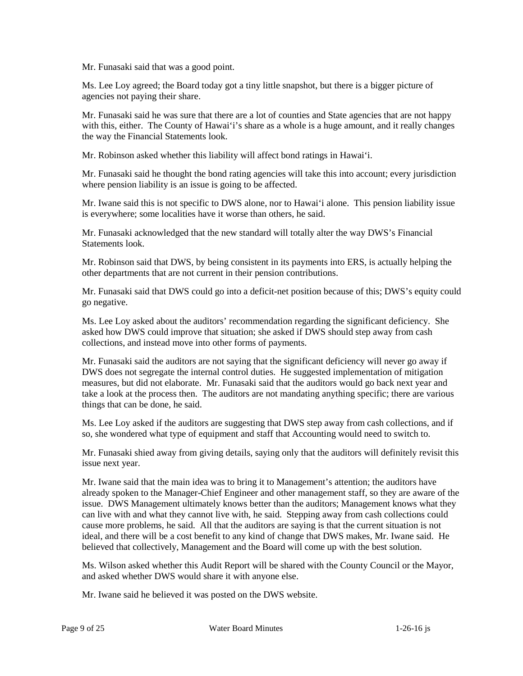Mr. Funasaki said that was a good point.

 Ms. Lee Loy agreed; the Board today got a tiny little snapshot, but there is a bigger picture of agencies not paying their share.

with this, either. The County of Hawai'i's share as a whole is a huge amount, and it really changes Mr. Funasaki said he was sure that there are a lot of counties and State agencies that are not happy the way the Financial Statements look.

Mr. Robinson asked whether this liability will affect bond ratings in Hawai'i.

 Mr. Funasaki said he thought the bond rating agencies will take this into account; every jurisdiction where pension liability is an issue is going to be affected.

Mr. Iwane said this is not specific to DWS alone, nor to Hawai'i alone. This pension liability issue is everywhere; some localities have it worse than others, he said.

Mr. Funasaki acknowledged that the new standard will totally alter the way DWS's Financial Statements look.

 Mr. Robinson said that DWS, by being consistent in its payments into ERS, is actually helping the other departments that are not current in their pension contributions.

 Mr. Funasaki said that DWS could go into a deficit-net position because of this; DWS's equity could go negative.

 Ms. Lee Loy asked about the auditors' recommendation regarding the significant deficiency. She asked how DWS could improve that situation; she asked if DWS should step away from cash collections, and instead move into other forms of payments.

 take a look at the process then. The auditors are not mandating anything specific; there are various things that can be done, he said. Mr. Funasaki said the auditors are not saying that the significant deficiency will never go away if DWS does not segregate the internal control duties. He suggested implementation of mitigation measures, but did not elaborate. Mr. Funasaki said that the auditors would go back next year and

Ms. Lee Loy asked if the auditors are suggesting that DWS step away from cash collections, and if so, she wondered what type of equipment and staff that Accounting would need to switch to.

Mr. Funasaki shied away from giving details, saying only that the auditors will definitely revisit this issue next year.

 already spoken to the Manager-Chief Engineer and other management staff, so they are aware of the issue. DWS Management ultimately knows better than the auditors; Management knows what they can live with and what they cannot live with, he said. Stepping away from cash collections could cause more problems, he said. All that the auditors are saying is that the current situation is not ideal, and there will be a cost benefit to any kind of change that DWS makes, Mr. Iwane said. He believed that collectively, Management and the Board will come up with the best solution. Mr. Iwane said that the main idea was to bring it to Management's attention; the auditors have

 Ms. Wilson asked whether this Audit Report will be shared with the County Council or the Mayor, and asked whether DWS would share it with anyone else.

Mr. Iwane said he believed it was posted on the DWS website.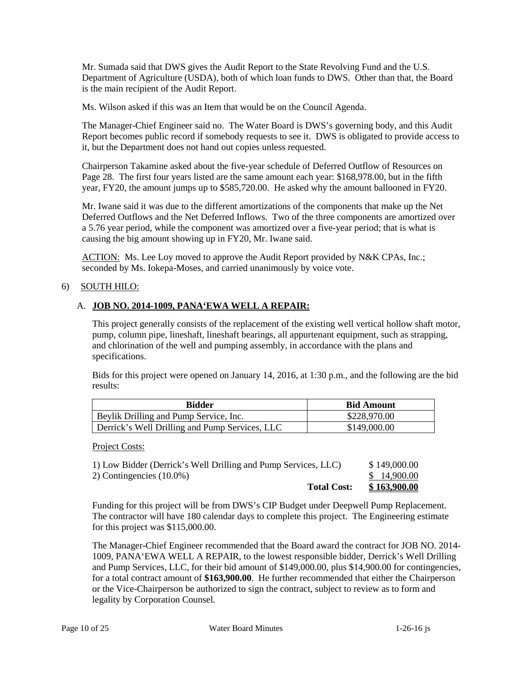Mr. Sumada said that DWS gives the Audit Report to the State Revolving Fund and the U.S. Department of Agriculture (USDA), both of which loan funds to DWS. Other than that, the Board is the main recipient of the Audit Report.

Ms. Wilson asked if this was an Item that would be on the Council Agenda.

The Manager-Chief Engineer said no. The Water Board is DWS's governing body, and this Audit Report becomes public record if somebody requests to see it. DWS is obligated to provide access to it, but the Department does not hand out copies unless requested.

Chairperson Takamine asked about the five-year schedule of Deferred Outflow of Resources on Page 28. The first four years listed are the same amount each year: \$168,978.00, but in the fifth year, FY20, the amount jumps up to \$585,720.00. He asked why the amount ballooned in FY20.

 Deferred Outflows and the Net Deferred Inflows. Two of the three components are amortized over Mr. Iwane said it was due to the different amortizations of the components that make up the Net a 5.76 year period, while the component was amortized over a five-year period; that is what is causing the big amount showing up in FY20, Mr. Iwane said.

ACTION: Ms. Lee Loy moved to approve the Audit Report provided by N&K CPAs, Inc.; seconded by Ms. Iokepa-Moses, and carried unanimously by voice vote.

# 6) SOUTH HILO:

# A. **JOB NO. 2014-1009, PANA'EWA WELL A REPAIR:**

This project generally consists of the replacement of the existing well vertical hollow shaft motor, pump, column pipe, lineshaft, lineshaft bearings, all appurtenant equipment, such as strapping, and chlorination of the well and pumping assembly, in accordance with the plans and specifications.

Bids for this project were opened on January 14, 2016, at 1:30 p.m., and the following are the bid results:

| <b>Bidder</b>                                  | <b>Bid Amount</b> |
|------------------------------------------------|-------------------|
| Beylik Drilling and Pump Service, Inc.         | \$228,970.00      |
| Derrick's Well Drilling and Pump Services, LLC | \$149,000.00      |

Project Costs:

| 1) Low Bidder (Derrick's Well Drilling and Pump Services, LLC) | \$149,000.00 |
|----------------------------------------------------------------|--------------|
| 2) Contingencies $(10.0\%)$                                    | \$14,900.00  |
| <b>Total Cost:</b>                                             | \$163,900.00 |

 for this project was \$115,000.00. Funding for this project will be from DWS's CIP Budget under Deepwell Pump Replacement. The contractor will have 180 calendar days to complete this project. The Engineering estimate

The Manager-Chief Engineer recommended that the Board award the contract for JOB NO. 2014 1009, PANA'EWA WELL A REPAIR, to the lowest responsible bidder, Derrick's Well Drilling and Pump Services, LLC, for their bid amount of \$149,000.00, plus \$14,900.00 for contingencies, for a total contract amount of **\$163,900.00**. He further recommended that either the Chairperson or the Vice-Chairperson be authorized to sign the contract, subject to review as to form and legality by Corporation Counsel.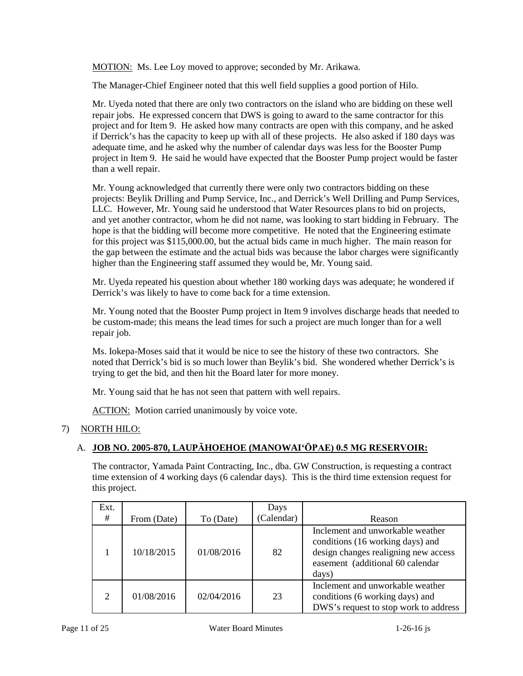MOTION: Ms. Lee Loy moved to approve; seconded by Mr. Arikawa.

The Manager-Chief Engineer noted that this well field supplies a good portion of Hilo.

 Mr. Uyeda noted that there are only two contractors on the island who are bidding on these well repair jobs. He expressed concern that DWS is going to award to the same contractor for this project in Item 9. He said he would have expected that the Booster Pump project would be faster project and for Item 9. He asked how many contracts are open with this company, and he asked if Derrick's has the capacity to keep up with all of these projects. He also asked if 180 days was adequate time, and he asked why the number of calendar days was less for the Booster Pump than a well repair.

 LLC. However, Mr. Young said he understood that Water Resources plans to bid on projects, hope is that the bidding will become more competitive. He noted that the Engineering estimate the gap between the estimate and the actual bids was because the labor charges were significantly Mr. Young acknowledged that currently there were only two contractors bidding on these projects: Beylik Drilling and Pump Service, Inc., and Derrick's Well Drilling and Pump Services, and yet another contractor, whom he did not name, was looking to start bidding in February. The for this project was \$115,000.00, but the actual bids came in much higher. The main reason for higher than the Engineering staff assumed they would be, Mr. Young said.

 Mr. Uyeda repeated his question about whether 180 working days was adequate; he wondered if Derrick's was likely to have to come back for a time extension.

 be custom-made; this means the lead times for such a project are much longer than for a well Mr. Young noted that the Booster Pump project in Item 9 involves discharge heads that needed to repair job.

 Ms. Iokepa-Moses said that it would be nice to see the history of these two contractors. She noted that Derrick's bid is so much lower than Beylik's bid. She wondered whether Derrick's is trying to get the bid, and then hit the Board later for more money.

Mr. Young said that he has not seen that pattern with well repairs.

ACTION: Motion carried unanimously by voice vote.

# 7) NORTH HILO:

# A. **JOB NO. 2005-870, LAUPĀHOEHOE (MANOWAI'ŌPAE) 0.5 MG RESERVOIR:**

The contractor, Yamada Paint Contracting, Inc., dba. GW Construction, is requesting a contract time extension of 4 working days (6 calendar days). This is the third time extension request for this project.

| Ext.<br># | From (Date) | To (Date)  | Days<br>(Calendar) | Reason                                                                                                                                                    |
|-----------|-------------|------------|--------------------|-----------------------------------------------------------------------------------------------------------------------------------------------------------|
|           | 10/18/2015  | 01/08/2016 | 82                 | Inclement and unworkable weather<br>conditions (16 working days) and<br>design changes realigning new access<br>easement (additional 60 calendar<br>days) |
| ◠         | 01/08/2016  | 02/04/2016 | 23                 | Inclement and unworkable weather<br>conditions (6 working days) and<br>DWS's request to stop work to address                                              |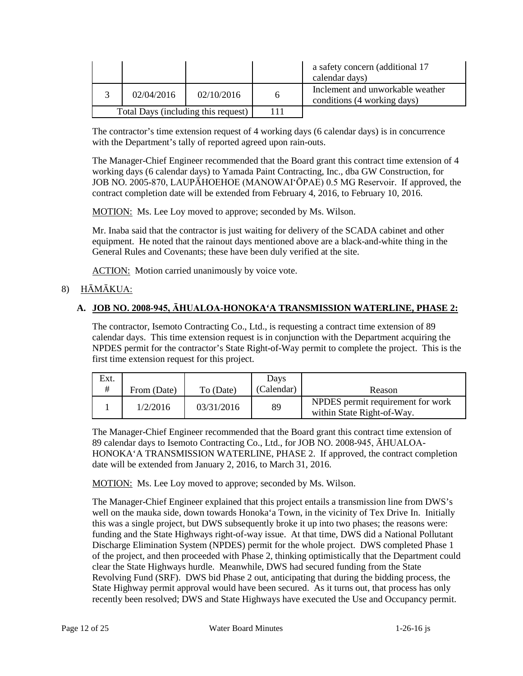|                                     |            |            | a safety concern (additional 17<br>calendar days)               |
|-------------------------------------|------------|------------|-----------------------------------------------------------------|
|                                     | 02/04/2016 | 02/10/2016 | Inclement and unworkable weather<br>conditions (4 working days) |
| Total Days (including this request) |            |            |                                                                 |

The contractor's time extension request of 4 working days (6 calendar days) is in concurrence with the Department's tally of reported agreed upon rain-outs.

 working days (6 calendar days) to Yamada Paint Contracting, Inc., dba GW Construction, for JOB NO. 2005-870, LAUPĀHOEHOE (MANOWAI'ŌPAE) 0.5 MG Reservoir. If approved, the The Manager-Chief Engineer recommended that the Board grant this contract time extension of 4 contract completion date will be extended from February 4, 2016, to February 10, 2016.

MOTION: Ms. Lee Loy moved to approve; seconded by Ms. Wilson.

 Mr. Inaba said that the contractor is just waiting for delivery of the SCADA cabinet and other equipment. He noted that the rainout days mentioned above are a black-and-white thing in the General Rules and Covenants; these have been duly verified at the site.

ACTION: Motion carried unanimously by voice vote.

# 8) HĀMĀKUA:

# **A. JOB NO. 2008-945, ĀHUALOA-HONOKA'A TRANSMISSION WATERLINE, PHASE 2:**

 calendar days. This time extension request is in conjunction with the Department acquiring the NPDES permit for the contractor's State Right-of-Way permit to complete the project. This is the The contractor, Isemoto Contracting Co., Ltd., is requesting a contract time extension of 89 first time extension request for this project.

| Ext.       |             |            | Davs       |                                                                 |
|------------|-------------|------------|------------|-----------------------------------------------------------------|
| $^{\rm +}$ | From (Date) | To (Date)  | (Calendar) | Reason                                                          |
|            | 1/2/2016    | 03/31/2016 | 89         | NPDES permit requirement for work<br>within State Right-of-Way. |

The Manager-Chief Engineer recommended that the Board grant this contract time extension of 89 calendar days to Isemoto Contracting Co., Ltd., for JOB NO. 2008-945, ĀHUALOA-HONOKA'A TRANSMISSION WATERLINE, PHASE 2. If approved, the contract completion date will be extended from January 2, 2016, to March 31, 2016.

MOTION: Ms. Lee Loy moved to approve; seconded by Ms. Wilson.

 well on the mauka side, down towards Honoka'a Town, in the vicinity of Tex Drive In. Initially recently been resolved; DWS and State Highways have executed the Use and Occupancy permit.<br>Page 12 of 25 Water Board Minutes 1-26-16 js The Manager-Chief Engineer explained that this project entails a transmission line from DWS's this was a single project, but DWS subsequently broke it up into two phases; the reasons were: funding and the State Highways right-of-way issue. At that time, DWS did a National Pollutant Discharge Elimination System (NPDES) permit for the whole project. DWS completed Phase 1 of the project, and then proceeded with Phase 2, thinking optimistically that the Department could clear the State Highways hurdle. Meanwhile, DWS had secured funding from the State Revolving Fund (SRF). DWS bid Phase 2 out, anticipating that during the bidding process, the State Highway permit approval would have been secured. As it turns out, that process has only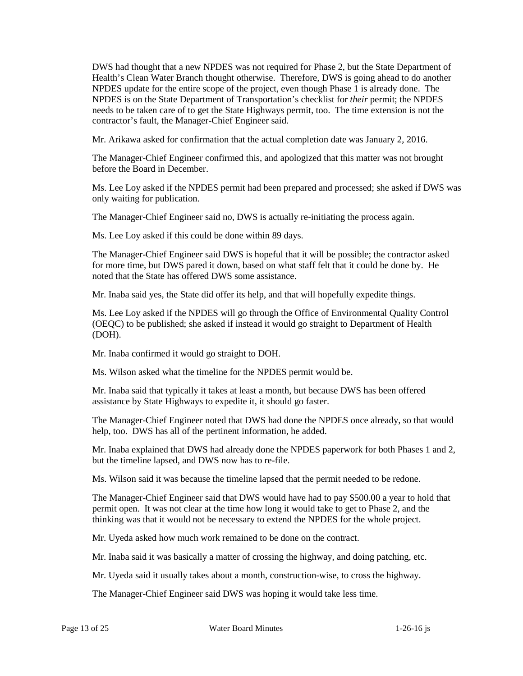NPDES is on the State Department of Transportation's checklist for *their* permit; the NPDES needs to be taken care of to get the State Highways permit, too. The time extension is not the DWS had thought that a new NPDES was not required for Phase 2, but the State Department of Health's Clean Water Branch thought otherwise. Therefore, DWS is going ahead to do another NPDES update for the entire scope of the project, even though Phase 1 is already done. The contractor's fault, the Manager-Chief Engineer said.

Mr. Arikawa asked for confirmation that the actual completion date was January 2, 2016.

 The Manager-Chief Engineer confirmed this, and apologized that this matter was not brought before the Board in December.

 Ms. Lee Loy asked if the NPDES permit had been prepared and processed; she asked if DWS was only waiting for publication.

The Manager-Chief Engineer said no, DWS is actually re-initiating the process again.

Ms. Lee Loy asked if this could be done within 89 days.

 The Manager-Chief Engineer said DWS is hopeful that it will be possible; the contractor asked for more time, but DWS pared it down, based on what staff felt that it could be done by. He noted that the State has offered DWS some assistance.

Mr. Inaba said yes, the State did offer its help, and that will hopefully expedite things.

Ms. Lee Loy asked if the NPDES will go through the Office of Environmental Quality Control (OEQC) to be published; she asked if instead it would go straight to Department of Health (DOH).

Mr. Inaba confirmed it would go straight to DOH.

Ms. Wilson asked what the timeline for the NPDES permit would be.

 assistance by State Highways to expedite it, it should go faster. Mr. Inaba said that typically it takes at least a month, but because DWS has been offered

The Manager-Chief Engineer noted that DWS had done the NPDES once already, so that would help, too. DWS has all of the pertinent information, he added.

Mr. Inaba explained that DWS had already done the NPDES paperwork for both Phases 1 and 2, but the timeline lapsed, and DWS now has to re-file.

Ms. Wilson said it was because the timeline lapsed that the permit needed to be redone.

 permit open. It was not clear at the time how long it would take to get to Phase 2, and the The Manager-Chief Engineer said that DWS would have had to pay \$500.00 a year to hold that thinking was that it would not be necessary to extend the NPDES for the whole project.

Mr. Uyeda asked how much work remained to be done on the contract.

Mr. Inaba said it was basically a matter of crossing the highway, and doing patching, etc.

Mr. Uyeda said it usually takes about a month, construction-wise, to cross the highway.

The Manager-Chief Engineer said DWS was hoping it would take less time.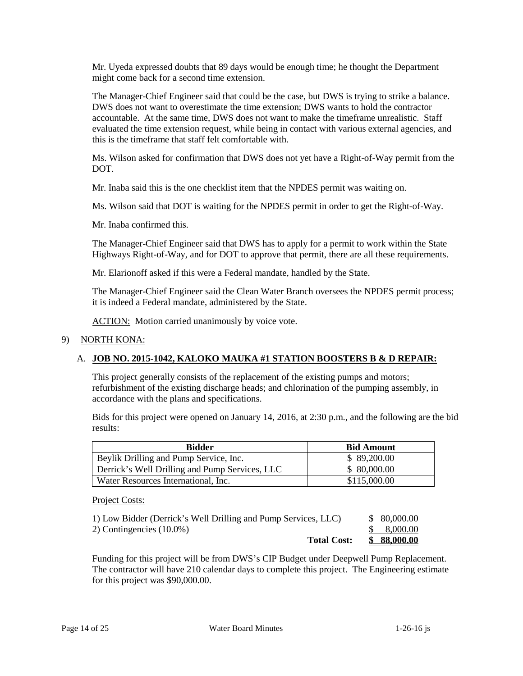Mr. Uyeda expressed doubts that 89 days would be enough time; he thought the Department might come back for a second time extension.

 The Manager-Chief Engineer said that could be the case, but DWS is trying to strike a balance. accountable. At the same time, DWS does not want to make the timeframe unrealistic. Staff DWS does not want to overestimate the time extension; DWS wants to hold the contractor evaluated the time extension request, while being in contact with various external agencies, and this is the timeframe that staff felt comfortable with.

Ms. Wilson asked for confirmation that DWS does not yet have a Right-of-Way permit from the DOT.

Mr. Inaba said this is the one checklist item that the NPDES permit was waiting on.

Ms. Wilson said that DOT is waiting for the NPDES permit in order to get the Right-of-Way.

Mr. Inaba confirmed this.

 Highways Right-of-Way, and for DOT to approve that permit, there are all these requirements. The Manager-Chief Engineer said that DWS has to apply for a permit to work within the State

Mr. Elarionoff asked if this were a Federal mandate, handled by the State.

The Manager-Chief Engineer said the Clean Water Branch oversees the NPDES permit process; it is indeed a Federal mandate, administered by the State.

ACTION: Motion carried unanimously by voice vote.

### 9) NORTH KONA:

# A. **JOB NO. 2015-1042, KALOKO MAUKA #1 STATION BOOSTERS B & D REPAIR:**

This project generally consists of the replacement of the existing pumps and motors; refurbishment of the existing discharge heads; and chlorination of the pumping assembly, in accordance with the plans and specifications.

Bids for this project were opened on January 14, 2016, at 2:30 p.m., and the following are the bid results:

| <b>Bidder</b>                                  | <b>Bid Amount</b> |
|------------------------------------------------|-------------------|
| Beylik Drilling and Pump Service, Inc.         | \$89,200.00       |
| Derrick's Well Drilling and Pump Services, LLC | \$ 80,000.00      |
| Water Resources International, Inc.            | \$115,000.00      |

#### Project Costs:

| <b>Total Cost:</b>                                             | \$88,000.00  |
|----------------------------------------------------------------|--------------|
| 2) Contingencies $(10.0\%)$                                    | \$ 8,000.00  |
| 1) Low Bidder (Derrick's Well Drilling and Pump Services, LLC) | \$ 80,000,00 |

Funding for this project will be from DWS's CIP Budget under Deepwell Pump Replacement. The contractor will have 210 calendar days to complete this project. The Engineering estimate for this project was \$90,000.00.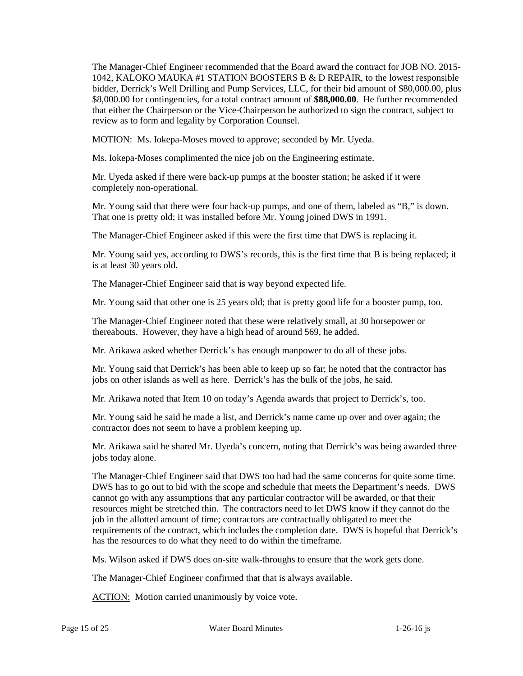1042, KALOKO MAUKA #1 STATION BOOSTERS B & D REPAIR, to the lowest responsible that either the Chairperson or the Vice-Chairperson be authorized to sign the contract, subject to The Manager-Chief Engineer recommended that the Board award the contract for JOB NO. 2015 bidder, Derrick's Well Drilling and Pump Services, LLC, for their bid amount of \$80,000.00, plus \$8,000.00 for contingencies, for a total contract amount of **\$88,000.00**. He further recommended review as to form and legality by Corporation Counsel.

MOTION: Ms. Iokepa-Moses moved to approve; seconded by Mr. Uyeda.

Ms. Iokepa-Moses complimented the nice job on the Engineering estimate.

 Mr. Uyeda asked if there were back-up pumps at the booster station; he asked if it were completely non-operational.

 Mr. Young said that there were four back-up pumps, and one of them, labeled as "B," is down. That one is pretty old; it was installed before Mr. Young joined DWS in 1991.

The Manager-Chief Engineer asked if this were the first time that DWS is replacing it.

 Mr. Young said yes, according to DWS's records, this is the first time that B is being replaced; it is at least 30 years old.

The Manager-Chief Engineer said that is way beyond expected life.

Mr. Young said that other one is 25 years old; that is pretty good life for a booster pump, too.

 thereabouts. However, they have a high head of around 569, he added. The Manager-Chief Engineer noted that these were relatively small, at 30 horsepower or

Mr. Arikawa asked whether Derrick's has enough manpower to do all of these jobs.

 Mr. Young said that Derrick's has been able to keep up so far; he noted that the contractor has jobs on other islands as well as here. Derrick's has the bulk of the jobs, he said.

Mr. Arikawa noted that Item 10 on today's Agenda awards that project to Derrick's, too.

Mr. Young said he said he made a list, and Derrick's name came up over and over again; the contractor does not seem to have a problem keeping up.

Mr. Arikawa said he shared Mr. Uyeda's concern, noting that Derrick's was being awarded three jobs today alone.

 The Manager-Chief Engineer said that DWS too had had the same concerns for quite some time. DWS has to go out to bid with the scope and schedule that meets the Department's needs. DWS cannot go with any assumptions that any particular contractor will be awarded, or that their resources might be stretched thin. The contractors need to let DWS know if they cannot do the requirements of the contract, which includes the completion date. DWS is hopeful that Derrick's job in the allotted amount of time; contractors are contractually obligated to meet the has the resources to do what they need to do within the timeframe.

Ms. Wilson asked if DWS does on-site walk-throughs to ensure that the work gets done.

The Manager-Chief Engineer confirmed that that is always available.

ACTION: Motion carried unanimously by voice vote.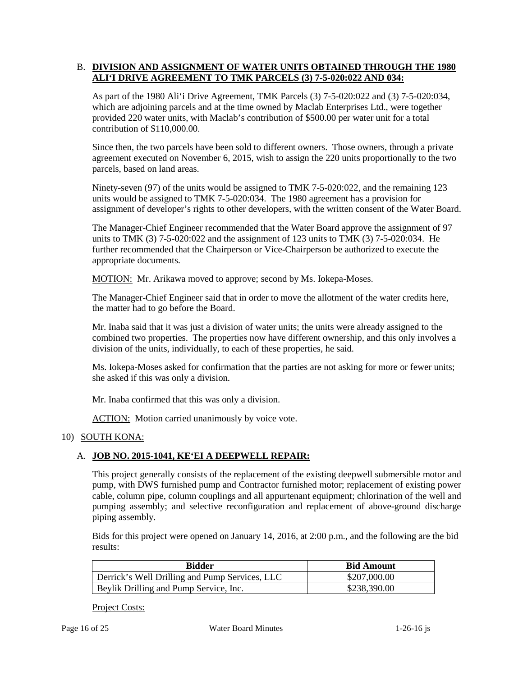### B. DIVISION AND ASSIGNMENT OF WATER UNITS OBTAINED THROUGH THE 1980 **ALI'I DRIVE AGREEMENT TO TMK PARCELS (3) 7-5-020:022 AND 034:**

 provided 220 water units, with Maclab's contribution of \$500.00 per water unit for a total As part of the 1980 Ali'i Drive Agreement, TMK Parcels (3) 7-5-020:022 and (3) 7-5-020:034, which are adjoining parcels and at the time owned by Maclab Enterprises Ltd., were together contribution of \$110,000.00.

 Since then, the two parcels have been sold to different owners. Those owners, through a private agreement executed on November 6, 2015, wish to assign the 220 units proportionally to the two parcels, based on land areas.

 Ninety-seven (97) of the units would be assigned to TMK 7-5-020:022, and the remaining 123 units would be assigned to TMK 7-5-020:034. The 1980 agreement has a provision for assignment of developer's rights to other developers, with the written consent of the Water Board.

 The Manager-Chief Engineer recommended that the Water Board approve the assignment of 97 units to TMK (3) 7-5-020:022 and the assignment of 123 units to TMK (3) 7-5-020:034. He further recommended that the Chairperson or Vice-Chairperson be authorized to execute the appropriate documents.

MOTION: Mr. Arikawa moved to approve; second by Ms. Iokepa-Moses.

 The Manager-Chief Engineer said that in order to move the allotment of the water credits here, the matter had to go before the Board.

 division of the units, individually, to each of these properties, he said. Mr. Inaba said that it was just a division of water units; the units were already assigned to the combined two properties. The properties now have different ownership, and this only involves a

Ms. Iokepa-Moses asked for confirmation that the parties are not asking for more or fewer units; she asked if this was only a division.

Mr. Inaba confirmed that this was only a division.

ACTION: Motion carried unanimously by voice vote.

### 10) SOUTH KONA:

### A. **JOB NO. 2015-1041, KE'EI A DEEPWELL REPAIR:**

 This project generally consists of the replacement of the existing deepwell submersible motor and pump, with DWS furnished pump and Contractor furnished motor; replacement of existing power cable, column pipe, column couplings and all appurtenant equipment; chlorination of the well and pumping assembly; and selective reconfiguration and replacement of above-ground discharge piping assembly.

Bids for this project were opened on January 14, 2016, at 2:00 p.m., and the following are the bid results:

| Bidder                                         | <b>Bid Amount</b> |
|------------------------------------------------|-------------------|
| Derrick's Well Drilling and Pump Services, LLC | \$207,000.00      |
| Beylik Drilling and Pump Service, Inc.         | \$238,390.00      |

Project Costs: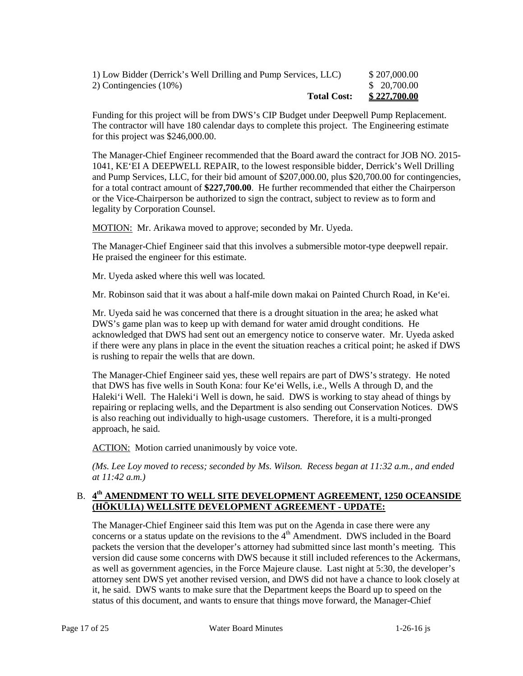| <b>Total Cost:</b>                                             | \$227,700.00 |
|----------------------------------------------------------------|--------------|
| 2) Contingencies (10%)                                         | \$ 20,700.00 |
| 1) Low Bidder (Derrick's Well Drilling and Pump Services, LLC) | \$207,000.00 |

Funding for this project will be from DWS's CIP Budget under Deepwell Pump Replacement. The contractor will have 180 calendar days to complete this project. The Engineering estimate for this project was \$246,000.00.

The Manager-Chief Engineer recommended that the Board award the contract for JOB NO. 2015 1041, KE'EI A DEEPWELL REPAIR, to the lowest responsible bidder, Derrick's Well Drilling and Pump Services, LLC, for their bid amount of \$207,000.00, plus \$20,700.00 for contingencies, for a total contract amount of **\$227,700.00**. He further recommended that either the Chairperson or the Vice-Chairperson be authorized to sign the contract, subject to review as to form and legality by Corporation Counsel.

MOTION: Mr. Arikawa moved to approve; seconded by Mr. Uyeda.

 The Manager-Chief Engineer said that this involves a submersible motor-type deepwell repair. He praised the engineer for this estimate.

Mr. Uyeda asked where this well was located.

Mr. Robinson said that it was about a half-mile down makai on Painted Church Road, in Ke'ei.

Mr. Uyeda said he was concerned that there is a drought situation in the area; he asked what DWS's game plan was to keep up with demand for water amid drought conditions. He acknowledged that DWS had sent out an emergency notice to conserve water. Mr. Uyeda asked if there were any plans in place in the event the situation reaches a critical point; he asked if DWS is rushing to repair the wells that are down.

 The Manager-Chief Engineer said yes, these well repairs are part of DWS's strategy. He noted Haleki'i Well. The Haleki'i Well is down, he said. DWS is working to stay ahead of things by that DWS has five wells in South Kona: four Ke'ei Wells, i.e., Wells A through D, and the repairing or replacing wells, and the Department is also sending out Conservation Notices. DWS is also reaching out individually to high-usage customers. Therefore, it is a multi-pronged approach, he said.

ACTION: Motion carried unanimously by voice vote.

*(Ms. Lee Loy moved to recess; seconded by Ms. Wilson. Recess began at 11:32 a.m., and ended at 11:42 a.m.)* 

### B. 4<sup>th</sup> AMENDMENT TO WELL SITE DEVELOPMENT AGREEMENT, 1250 OCEANSIDE **(HŌKULIA) WELLSITE DEVELOPMENT AGREEMENT - UPDATE:**

concerns or a status update on the revisions to the 4<sup>th</sup> Amendment. DWS included in the Board status of this document, and wants to ensure that things move forward, the Manager-Chief The Manager-Chief Engineer said this Item was put on the Agenda in case there were any packets the version that the developer's attorney had submitted since last month's meeting. This version did cause some concerns with DWS because it still included references to the Ackermans, as well as government agencies, in the Force Majeure clause. Last night at 5:30, the developer's attorney sent DWS yet another revised version, and DWS did not have a chance to look closely at it, he said. DWS wants to make sure that the Department keeps the Board up to speed on the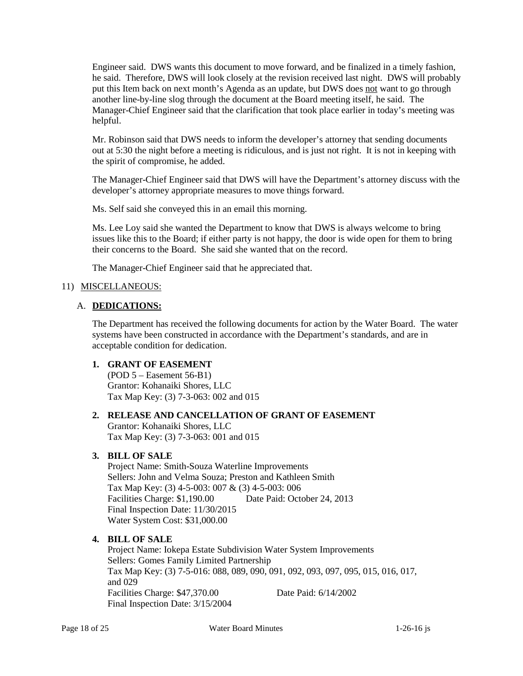he said. Therefore, DWS will look closely at the revision received last night. DWS will probably another line-by-line slog through the document at the Board meeting itself, he said. The Manager-Chief Engineer said that the clarification that took place earlier in today's meeting was Engineer said. DWS wants this document to move forward, and be finalized in a timely fashion, put this Item back on next month's Agenda as an update, but DWS does not want to go through helpful.

 out at 5:30 the night before a meeting is ridiculous, and is just not right. It is not in keeping with Mr. Robinson said that DWS needs to inform the developer's attorney that sending documents the spirit of compromise, he added.

The Manager-Chief Engineer said that DWS will have the Department's attorney discuss with the developer's attorney appropriate measures to move things forward.

Ms. Self said she conveyed this in an email this morning.

 their concerns to the Board. She said she wanted that on the record. Ms. Lee Loy said she wanted the Department to know that DWS is always welcome to bring issues like this to the Board; if either party is not happy, the door is wide open for them to bring

The Manager-Chief Engineer said that he appreciated that.

### 11) MISCELLANEOUS:

### A. **DEDICATIONS:**

 The Department has received the following documents for action by the Water Board. The water systems have been constructed in accordance with the Department's standards, and are in acceptable condition for dedication.

### **1. GRANT OF EASEMENT**

(POD 5 – Easement 56-B1) Grantor: Kohanaiki Shores, LLC Tax Map Key: (3) 7-3-063: 002 and 015

### **2. RELEASE AND CANCELLATION OF GRANT OF EASEMENT**

Grantor: Kohanaiki Shores, LLC Tax Map Key: (3) 7-3-063: 001 and 015

### **3. BILL OF SALE**

 Sellers: John and Velma Souza; Preston and Kathleen Smith Final Inspection Date: 11/30/2015 Project Name: Smith-Souza Waterline Improvements Tax Map Key: (3) 4-5-003: 007 & (3) 4-5-003: 006 Facilities Charge: \$1,190.00 Date Paid: October 24, 2013 Water System Cost: \$31,000.00

### **4. BILL OF SALE**

 Final Inspection Date: 3/15/2004 Project Name: Iokepa Estate Subdivision Water System Improvements Sellers: Gomes Family Limited Partnership Tax Map Key: (3) 7-5-016: 088, 089, 090, 091, 092, 093, 097, 095, 015, 016, 017, and 029 Facilities Charge: \$47,370.00 Date Paid: 6/14/2002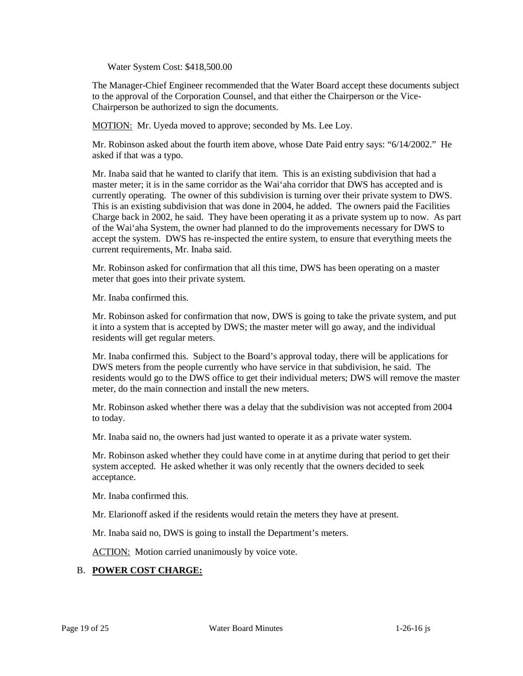Water System Cost: \$418,500.00

 to the approval of the Corporation Counsel, and that either the Chairperson or the Vice-The Manager-Chief Engineer recommended that the Water Board accept these documents subject Chairperson be authorized to sign the documents.

MOTION: Mr. Uyeda moved to approve; seconded by Ms. Lee Loy.

Mr. Robinson asked about the fourth item above, whose Date Paid entry says: "6/14/2002." He asked if that was a typo.

Mr. Inaba said that he wanted to clarify that item. This is an existing subdivision that had a master meter; it is in the same corridor as the Wai'aha corridor that DWS has accepted and is currently operating. The owner of this subdivision is turning over their private system to DWS. This is an existing subdivision that was done in 2004, he added. The owners paid the Facilities Charge back in 2002, he said. They have been operating it as a private system up to now. As part of the Wai'aha System, the owner had planned to do the improvements necessary for DWS to accept the system. DWS has re-inspected the entire system, to ensure that everything meets the current requirements, Mr. Inaba said.

 meter that goes into their private system. Mr. Robinson asked for confirmation that all this time, DWS has been operating on a master

Mr. Inaba confirmed this.

 Mr. Robinson asked for confirmation that now, DWS is going to take the private system, and put it into a system that is accepted by DWS; the master meter will go away, and the individual residents will get regular meters.

Mr. Inaba confirmed this. Subject to the Board's approval today, there will be applications for DWS meters from the people currently who have service in that subdivision, he said. The residents would go to the DWS office to get their individual meters; DWS will remove the master meter, do the main connection and install the new meters.

Mr. Robinson asked whether there was a delay that the subdivision was not accepted from 2004 to today.

Mr. Inaba said no, the owners had just wanted to operate it as a private water system.

 Mr. Robinson asked whether they could have come in at anytime during that period to get their system accepted. He asked whether it was only recently that the owners decided to seek acceptance.

Mr. Inaba confirmed this.

Mr. Elarionoff asked if the residents would retain the meters they have at present.

Mr. Inaba said no, DWS is going to install the Department's meters.

**ACTION:** Motion carried unanimously by voice vote.

# B. **POWER COST CHARGE:**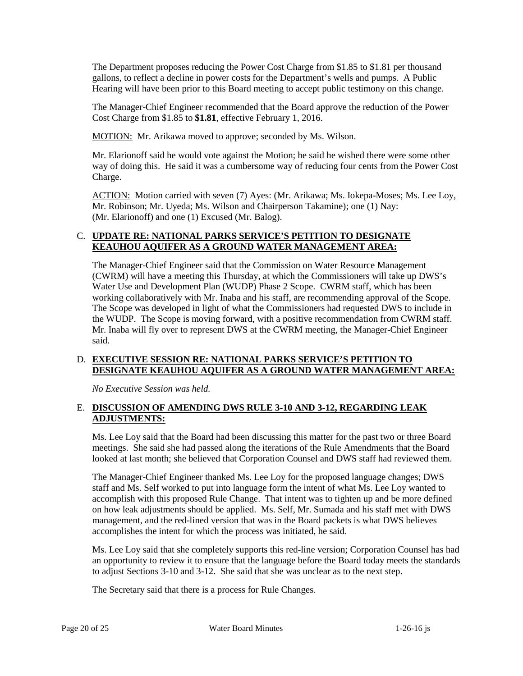The Department proposes reducing the Power Cost Charge from \$1.85 to \$1.81 per thousand gallons, to reflect a decline in power costs for the Department's wells and pumps. A Public Hearing will have been prior to this Board meeting to accept public testimony on this change.

 The Manager-Chief Engineer recommended that the Board approve the reduction of the Power Cost Charge from \$1.85 to **\$1.81**, effective February 1, 2016.

MOTION: Mr. Arikawa moved to approve; seconded by Ms. Wilson.

Mr. Elarionoff said he would vote against the Motion; he said he wished there were some other way of doing this. He said it was a cumbersome way of reducing four cents from the Power Cost Charge.

ACTION: Motion carried with seven (7) Ayes: (Mr. Arikawa; Ms. Iokepa-Moses; Ms. Lee Loy, Mr. Robinson; Mr. Uyeda; Ms. Wilson and Chairperson Takamine); one (1) Nay: (Mr. Elarionoff) and one (1) Excused (Mr. Balog).

### C. **UPDATE RE: NATIONAL PARKS SERVICE'S PETITION TO DESIGNATE KEAUHOU AQUIFER AS A GROUND WATER MANAGEMENT AREA:**

 Water Use and Development Plan (WUDP) Phase 2 Scope. CWRM staff, which has been the WUDP. The Scope is moving forward, with a positive recommendation from CWRM staff. The Manager-Chief Engineer said that the Commission on Water Resource Management (CWRM) will have a meeting this Thursday, at which the Commissioners will take up DWS's working collaboratively with Mr. Inaba and his staff, are recommending approval of the Scope. The Scope was developed in light of what the Commissioners had requested DWS to include in Mr. Inaba will fly over to represent DWS at the CWRM meeting, the Manager-Chief Engineer said.

# D. **EXECUTIVE SESSION RE: NATIONAL PARKS SERVICE'S PETITION TO DESIGNATE KEAUHOU AQUIFER AS A GROUND WATER MANAGEMENT AREA:**

*No Executive Session was held.* 

# E. **DISCUSSION OF AMENDING DWS RULE 3-10 AND 3-12, REGARDING LEAK ADJUSTMENTS:**

 Ms. Lee Loy said that the Board had been discussing this matter for the past two or three Board meetings. She said she had passed along the iterations of the Rule Amendments that the Board looked at last month; she believed that Corporation Counsel and DWS staff had reviewed them.

 accomplish with this proposed Rule Change. That intent was to tighten up and be more defined The Manager-Chief Engineer thanked Ms. Lee Loy for the proposed language changes; DWS staff and Ms. Self worked to put into language form the intent of what Ms. Lee Loy wanted to on how leak adjustments should be applied. Ms. Self, Mr. Sumada and his staff met with DWS management, and the red-lined version that was in the Board packets is what DWS believes accomplishes the intent for which the process was initiated, he said.

 an opportunity to review it to ensure that the language before the Board today meets the standards to adjust Sections 3-10 and 3-12. She said that she was unclear as to the next step. Ms. Lee Loy said that she completely supports this red-line version; Corporation Counsel has had

The Secretary said that there is a process for Rule Changes.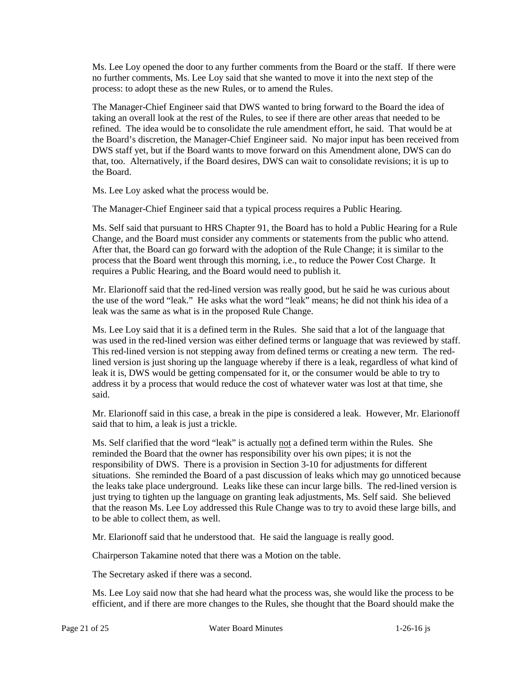Ms. Lee Loy opened the door to any further comments from the Board or the staff. If there were no further comments, Ms. Lee Loy said that she wanted to move it into the next step of the process: to adopt these as the new Rules, or to amend the Rules.

 The Manager-Chief Engineer said that DWS wanted to bring forward to the Board the idea of taking an overall look at the rest of the Rules, to see if there are other areas that needed to be that, too. Alternatively, if the Board desires, DWS can wait to consolidate revisions; it is up to refined. The idea would be to consolidate the rule amendment effort, he said. That would be at the Board's discretion, the Manager-Chief Engineer said. No major input has been received from DWS staff yet, but if the Board wants to move forward on this Amendment alone, DWS can do the Board.

Ms. Lee Loy asked what the process would be.

The Manager-Chief Engineer said that a typical process requires a Public Hearing.

 Ms. Self said that pursuant to HRS Chapter 91, the Board has to hold a Public Hearing for a Rule After that, the Board can go forward with the adoption of the Rule Change; it is similar to the Change, and the Board must consider any comments or statements from the public who attend. process that the Board went through this morning, i.e., to reduce the Power Cost Charge. It requires a Public Hearing, and the Board would need to publish it.

 leak was the same as what is in the proposed Rule Change. Mr. Elarionoff said that the red-lined version was really good, but he said he was curious about the use of the word "leak." He asks what the word "leak" means; he did not think his idea of a

 Ms. Lee Loy said that it is a defined term in the Rules. She said that a lot of the language that was used in the red-lined version was either defined terms or language that was reviewed by staff. This red-lined version is not stepping away from defined terms or creating a new term. The redlined version is just shoring up the language whereby if there is a leak, regardless of what kind of leak it is, DWS would be getting compensated for it, or the consumer would be able to try to address it by a process that would reduce the cost of whatever water was lost at that time, she said.

Mr. Elarionoff said in this case, a break in the pipe is considered a leak. However, Mr. Elarionoff said that to him, a leak is just a trickle.

Ms. Self clarified that the word "leak" is actually not a defined term within the Rules. She reminded the Board that the owner has responsibility over his own pipes; it is not the responsibility of DWS. There is a provision in Section 3-10 for adjustments for different the leaks take place underground. Leaks like these can incur large bills. The red-lined version is that the reason Ms. Lee Loy addressed this Rule Change was to try to avoid these large bills, and situations. She reminded the Board of a past discussion of leaks which may go unnoticed because just trying to tighten up the language on granting leak adjustments, Ms. Self said. She believed to be able to collect them, as well.

Mr. Elarionoff said that he understood that. He said the language is really good.

Chairperson Takamine noted that there was a Motion on the table.

The Secretary asked if there was a second.

 Ms. Lee Loy said now that she had heard what the process was, she would like the process to be efficient, and if there are more changes to the Rules, she thought that the Board should make the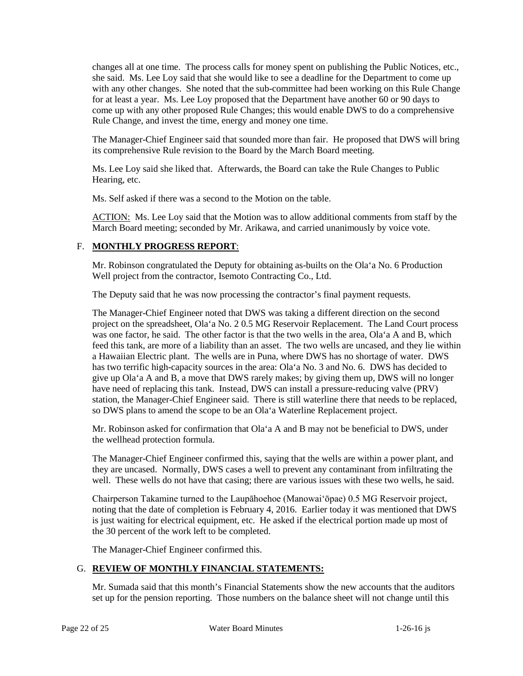she said. Ms. Lee Loy said that she would like to see a deadline for the Department to come up for at least a year. Ms. Lee Loy proposed that the Department have another 60 or 90 days to changes all at one time. The process calls for money spent on publishing the Public Notices, etc., with any other changes. She noted that the sub-committee had been working on this Rule Change come up with any other proposed Rule Changes; this would enable DWS to do a comprehensive Rule Change, and invest the time, energy and money one time.

The Manager-Chief Engineer said that sounded more than fair. He proposed that DWS will bring its comprehensive Rule revision to the Board by the March Board meeting.

Ms. Lee Loy said she liked that. Afterwards, the Board can take the Rule Changes to Public Hearing, etc.

Ms. Self asked if there was a second to the Motion on the table.

ACTION: Ms. Lee Loy said that the Motion was to allow additional comments from staff by the March Board meeting; seconded by Mr. Arikawa, and carried unanimously by voice vote.

# F. **MONTHLY PROGRESS REPORT**:

 Mr. Robinson congratulated the Deputy for obtaining as-builts on the Ola'a No. 6 Production Well project from the contractor, Isemoto Contracting Co., Ltd.

The Deputy said that he was now processing the contractor's final payment requests.

 was one factor, he said. The other factor is that the two wells in the area, Ola'a A and B, which feed this tank, are more of a liability than an asset. The two wells are uncased, and they lie within a Hawaiian Electric plant. The wells are in Puna, where DWS has no shortage of water. DWS have need of replacing this tank. Instead, DWS can install a pressure-reducing valve (PRV) station, the Manager-Chief Engineer said. There is still waterline there that needs to be replaced, The Manager-Chief Engineer noted that DWS was taking a different direction on the second project on the spreadsheet, Ola'a No. 2 0.5 MG Reservoir Replacement. The Land Court process has two terrific high-capacity sources in the area: Ola'a No. 3 and No. 6. DWS has decided to give up Ola'a A and B, a move that DWS rarely makes; by giving them up, DWS will no longer so DWS plans to amend the scope to be an Ola'a Waterline Replacement project.

Mr. Robinson asked for confirmation that Ola'a A and B may not be beneficial to DWS, under the wellhead protection formula.

 well. These wells do not have that casing; there are various issues with these two wells, he said. The Manager-Chief Engineer confirmed this, saying that the wells are within a power plant, and they are uncased. Normally, DWS cases a well to prevent any contaminant from infiltrating the

 noting that the date of completion is February 4, 2016. Earlier today it was mentioned that DWS Chairperson Takamine turned to the Laupāhoehoe (Manowai'ōpae) 0.5 MG Reservoir project, is just waiting for electrical equipment, etc. He asked if the electrical portion made up most of the 30 percent of the work left to be completed.

The Manager-Chief Engineer confirmed this.

# G. **REVIEW OF MONTHLY FINANCIAL STATEMENTS:**

Mr. Sumada said that this month's Financial Statements show the new accounts that the auditors set up for the pension reporting. Those numbers on the balance sheet will not change until this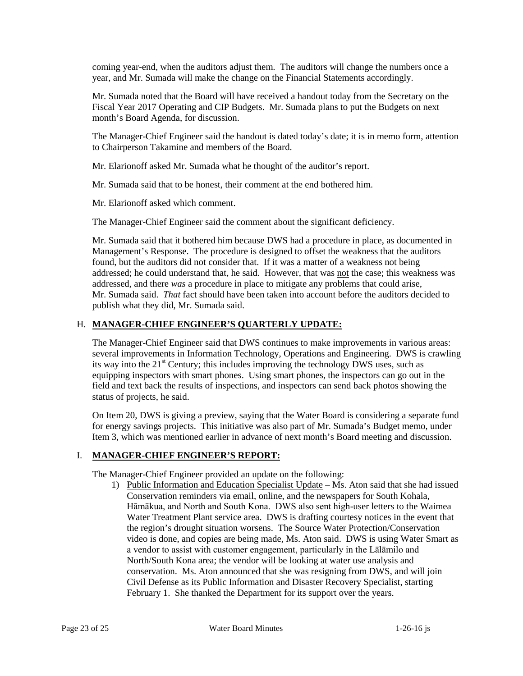coming year-end, when the auditors adjust them. The auditors will change the numbers once a year, and Mr. Sumada will make the change on the Financial Statements accordingly.

Mr. Sumada noted that the Board will have received a handout today from the Secretary on the Fiscal Year 2017 Operating and CIP Budgets. Mr. Sumada plans to put the Budgets on next month's Board Agenda, for discussion.

 The Manager-Chief Engineer said the handout is dated today's date; it is in memo form, attention to Chairperson Takamine and members of the Board.

Mr. Elarionoff asked Mr. Sumada what he thought of the auditor's report.

Mr. Sumada said that to be honest, their comment at the end bothered him.

Mr. Elarionoff asked which comment.

The Manager-Chief Engineer said the comment about the significant deficiency.

 Management's Response. The procedure is designed to offset the weakness that the auditors found, but the auditors did not consider that. If it was a matter of a weakness not being addressed; he could understand that, he said. However, that was not the case; this weakness was addressed, and there *was* a procedure in place to mitigate any problems that could arise, Mr. Sumada said that it bothered him because DWS had a procedure in place, as documented in Mr. Sumada said. *That* fact should have been taken into account before the auditors decided to publish what they did, Mr. Sumada said.

# H. **MANAGER-CHIEF ENGINEER'S QUARTERLY UPDATE:**

 The Manager-Chief Engineer said that DWS continues to make improvements in various areas: its way into the  $21<sup>st</sup>$  Century; this includes improving the technology DWS uses, such as field and text back the results of inspections, and inspectors can send back photos showing the several improvements in Information Technology, Operations and Engineering. DWS is crawling equipping inspectors with smart phones. Using smart phones, the inspectors can go out in the status of projects, he said.

On Item 20, DWS is giving a preview, saying that the Water Board is considering a separate fund for energy savings projects. This initiative was also part of Mr. Sumada's Budget memo, under Item 3, which was mentioned earlier in advance of next month's Board meeting and discussion.

# I. **MANAGER-CHIEF ENGINEER'S REPORT:**

The Manager-Chief Engineer provided an update on the following:

 video is done, and copies are being made, Ms. Aton said. DWS is using Water Smart as 1) Public Information and Education Specialist Update – Ms. Aton said that she had issued Conservation reminders via email, online, and the newspapers for South Kohala, Hāmākua, and North and South Kona. DWS also sent high-user letters to the Waimea Water Treatment Plant service area. DWS is drafting courtesy notices in the event that the region's drought situation worsens. The Source Water Protection/Conservation a vendor to assist with customer engagement, particularly in the Lālāmilo and North/South Kona area; the vendor will be looking at water use analysis and conservation. Ms. Aton announced that she was resigning from DWS, and will join Civil Defense as its Public Information and Disaster Recovery Specialist, starting February 1. She thanked the Department for its support over the years.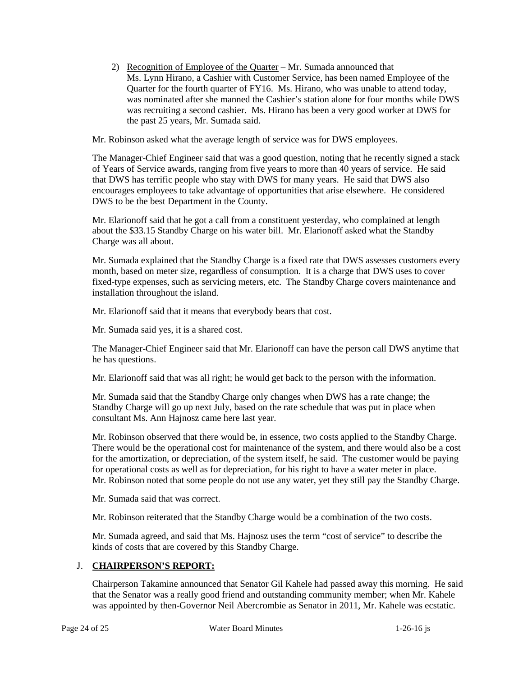Ms. Lynn Hirano, a Cashier with Customer Service, has been named Employee of the Quarter for the fourth quarter of FY16. Ms. Hirano, who was unable to attend today, was nominated after she manned the Cashier's station alone for four months while DWS 2) Recognition of Employee of the Quarter – Mr. Sumada announced that was recruiting a second cashier. Ms. Hirano has been a very good worker at DWS for the past 25 years, Mr. Sumada said.

Mr. Robinson asked what the average length of service was for DWS employees.

 that DWS has terrific people who stay with DWS for many years. He said that DWS also The Manager-Chief Engineer said that was a good question, noting that he recently signed a stack of Years of Service awards, ranging from five years to more than 40 years of service. He said encourages employees to take advantage of opportunities that arise elsewhere. He considered DWS to be the best Department in the County.

 Mr. Elarionoff said that he got a call from a constituent yesterday, who complained at length about the \$33.15 Standby Charge on his water bill. Mr. Elarionoff asked what the Standby Charge was all about.

 month, based on meter size, regardless of consumption. It is a charge that DWS uses to cover fixed-type expenses, such as servicing meters, etc. The Standby Charge covers maintenance and installation throughout the island. Mr. Sumada explained that the Standby Charge is a fixed rate that DWS assesses customers every

Mr. Elarionoff said that it means that everybody bears that cost.

Mr. Sumada said yes, it is a shared cost.

The Manager-Chief Engineer said that Mr. Elarionoff can have the person call DWS anytime that he has questions.

Mr. Elarionoff said that was all right; he would get back to the person with the information.

 Standby Charge will go up next July, based on the rate schedule that was put in place when Mr. Sumada said that the Standby Charge only changes when DWS has a rate change; the consultant Ms. Ann Hajnosz came here last year.

 for the amortization, or depreciation, of the system itself, he said. The customer would be paying for operational costs as well as for depreciation, for his right to have a water meter in place. Mr. Robinson observed that there would be, in essence, two costs applied to the Standby Charge. There would be the operational cost for maintenance of the system, and there would also be a cost Mr. Robinson noted that some people do not use any water, yet they still pay the Standby Charge.

Mr. Sumada said that was correct.

Mr. Robinson reiterated that the Standby Charge would be a combination of the two costs.

Mr. Sumada agreed, and said that Ms. Hajnosz uses the term "cost of service" to describe the kinds of costs that are covered by this Standby Charge.

# J. **CHAIRPERSON'S REPORT:**

 that the Senator was a really good friend and outstanding community member; when Mr. Kahele Chairperson Takamine announced that Senator Gil Kahele had passed away this morning. He said was appointed by then-Governor Neil Abercrombie as Senator in 2011, Mr. Kahele was ecstatic.